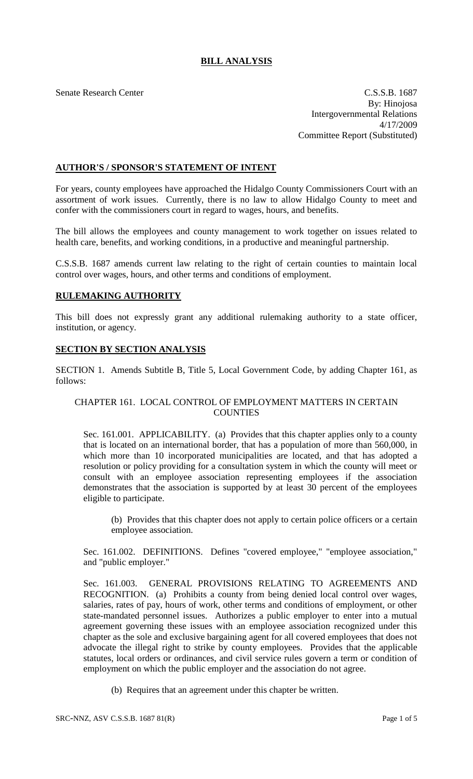# **BILL ANALYSIS**

Senate Research Center C.S.S.B. 1687 By: Hinojosa Intergovernmental Relations 4/17/2009 Committee Report (Substituted)

## **AUTHOR'S / SPONSOR'S STATEMENT OF INTENT**

For years, county employees have approached the Hidalgo County Commissioners Court with an assortment of work issues. Currently, there is no law to allow Hidalgo County to meet and confer with the commissioners court in regard to wages, hours, and benefits.

The bill allows the employees and county management to work together on issues related to health care, benefits, and working conditions, in a productive and meaningful partnership.

C.S.S.B. 1687 amends current law relating to the right of certain counties to maintain local control over wages, hours, and other terms and conditions of employment.

### **RULEMAKING AUTHORITY**

This bill does not expressly grant any additional rulemaking authority to a state officer, institution, or agency.

### **SECTION BY SECTION ANALYSIS**

SECTION 1. Amends Subtitle B, Title 5, Local Government Code, by adding Chapter 161, as follows:

### CHAPTER 161. LOCAL CONTROL OF EMPLOYMENT MATTERS IN CERTAIN **COUNTIES**

Sec. 161.001. APPLICABILITY. (a) Provides that this chapter applies only to a county that is located on an international border, that has a population of more than 560,000, in which more than 10 incorporated municipalities are located, and that has adopted a resolution or policy providing for a consultation system in which the county will meet or consult with an employee association representing employees if the association demonstrates that the association is supported by at least 30 percent of the employees eligible to participate.

(b) Provides that this chapter does not apply to certain police officers or a certain employee association.

Sec. 161.002. DEFINITIONS. Defines "covered employee," "employee association," and "public employer."

Sec. 161.003. GENERAL PROVISIONS RELATING TO AGREEMENTS AND RECOGNITION. (a) Prohibits a county from being denied local control over wages, salaries, rates of pay, hours of work, other terms and conditions of employment, or other state-mandated personnel issues. Authorizes a public employer to enter into a mutual agreement governing these issues with an employee association recognized under this chapter as the sole and exclusive bargaining agent for all covered employees that does not advocate the illegal right to strike by county employees. Provides that the applicable statutes, local orders or ordinances, and civil service rules govern a term or condition of employment on which the public employer and the association do not agree.

(b) Requires that an agreement under this chapter be written.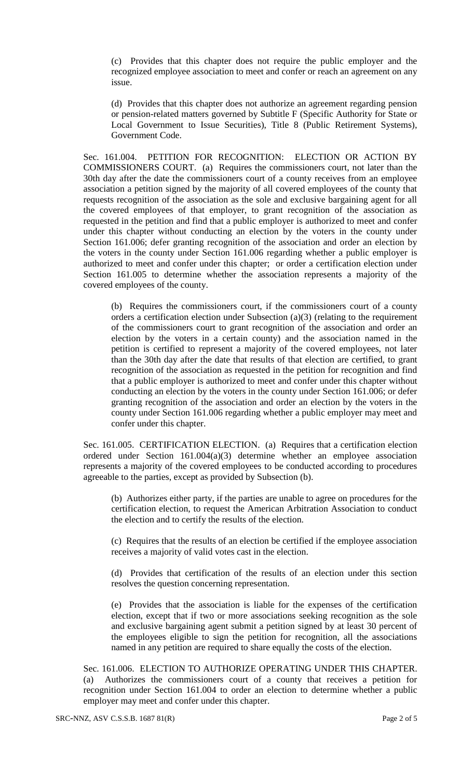(c) Provides that this chapter does not require the public employer and the recognized employee association to meet and confer or reach an agreement on any issue.

(d) Provides that this chapter does not authorize an agreement regarding pension or pension-related matters governed by Subtitle F (Specific Authority for State or Local Government to Issue Securities), Title 8 (Public Retirement Systems), Government Code.

Sec. 161.004. PETITION FOR RECOGNITION: ELECTION OR ACTION BY COMMISSIONERS COURT. (a) Requires the commissioners court, not later than the 30th day after the date the commissioners court of a county receives from an employee association a petition signed by the majority of all covered employees of the county that requests recognition of the association as the sole and exclusive bargaining agent for all the covered employees of that employer, to grant recognition of the association as requested in the petition and find that a public employer is authorized to meet and confer under this chapter without conducting an election by the voters in the county under Section 161.006; defer granting recognition of the association and order an election by the voters in the county under Section 161.006 regarding whether a public employer is authorized to meet and confer under this chapter; or order a certification election under Section 161.005 to determine whether the association represents a majority of the covered employees of the county.

(b) Requires the commissioners court, if the commissioners court of a county orders a certification election under Subsection (a)(3) (relating to the requirement of the commissioners court to grant recognition of the association and order an election by the voters in a certain county) and the association named in the petition is certified to represent a majority of the covered employees, not later than the 30th day after the date that results of that election are certified, to grant recognition of the association as requested in the petition for recognition and find that a public employer is authorized to meet and confer under this chapter without conducting an election by the voters in the county under Section 161.006; or defer granting recognition of the association and order an election by the voters in the county under Section 161.006 regarding whether a public employer may meet and confer under this chapter.

Sec. 161.005. CERTIFICATION ELECTION. (a) Requires that a certification election ordered under Section 161.004(a)(3) determine whether an employee association represents a majority of the covered employees to be conducted according to procedures agreeable to the parties, except as provided by Subsection (b).

(b) Authorizes either party, if the parties are unable to agree on procedures for the certification election, to request the American Arbitration Association to conduct the election and to certify the results of the election.

(c) Requires that the results of an election be certified if the employee association receives a majority of valid votes cast in the election.

(d) Provides that certification of the results of an election under this section resolves the question concerning representation.

(e) Provides that the association is liable for the expenses of the certification election, except that if two or more associations seeking recognition as the sole and exclusive bargaining agent submit a petition signed by at least 30 percent of the employees eligible to sign the petition for recognition, all the associations named in any petition are required to share equally the costs of the election.

Sec. 161.006. ELECTION TO AUTHORIZE OPERATING UNDER THIS CHAPTER. (a) Authorizes the commissioners court of a county that receives a petition for recognition under Section 161.004 to order an election to determine whether a public employer may meet and confer under this chapter.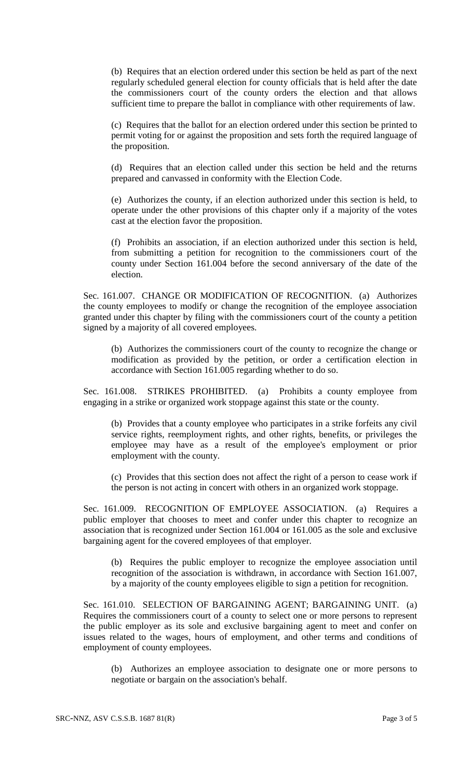(b) Requires that an election ordered under this section be held as part of the next regularly scheduled general election for county officials that is held after the date the commissioners court of the county orders the election and that allows sufficient time to prepare the ballot in compliance with other requirements of law.

(c) Requires that the ballot for an election ordered under this section be printed to permit voting for or against the proposition and sets forth the required language of the proposition.

(d) Requires that an election called under this section be held and the returns prepared and canvassed in conformity with the Election Code.

(e) Authorizes the county, if an election authorized under this section is held, to operate under the other provisions of this chapter only if a majority of the votes cast at the election favor the proposition.

(f) Prohibits an association, if an election authorized under this section is held, from submitting a petition for recognition to the commissioners court of the county under Section 161.004 before the second anniversary of the date of the election.

Sec. 161.007. CHANGE OR MODIFICATION OF RECOGNITION. (a) Authorizes the county employees to modify or change the recognition of the employee association granted under this chapter by filing with the commissioners court of the county a petition signed by a majority of all covered employees.

(b) Authorizes the commissioners court of the county to recognize the change or modification as provided by the petition, or order a certification election in accordance with Section 161.005 regarding whether to do so.

Sec. 161.008. STRIKES PROHIBITED. (a) Prohibits a county employee from engaging in a strike or organized work stoppage against this state or the county.

(b) Provides that a county employee who participates in a strike forfeits any civil service rights, reemployment rights, and other rights, benefits, or privileges the employee may have as a result of the employee's employment or prior employment with the county.

(c) Provides that this section does not affect the right of a person to cease work if the person is not acting in concert with others in an organized work stoppage.

Sec. 161.009. RECOGNITION OF EMPLOYEE ASSOCIATION. (a) Requires a public employer that chooses to meet and confer under this chapter to recognize an association that is recognized under Section 161.004 or 161.005 as the sole and exclusive bargaining agent for the covered employees of that employer.

(b) Requires the public employer to recognize the employee association until recognition of the association is withdrawn, in accordance with Section 161.007, by a majority of the county employees eligible to sign a petition for recognition.

Sec. 161.010. SELECTION OF BARGAINING AGENT; BARGAINING UNIT. (a) Requires the commissioners court of a county to select one or more persons to represent the public employer as its sole and exclusive bargaining agent to meet and confer on issues related to the wages, hours of employment, and other terms and conditions of employment of county employees.

(b) Authorizes an employee association to designate one or more persons to negotiate or bargain on the association's behalf.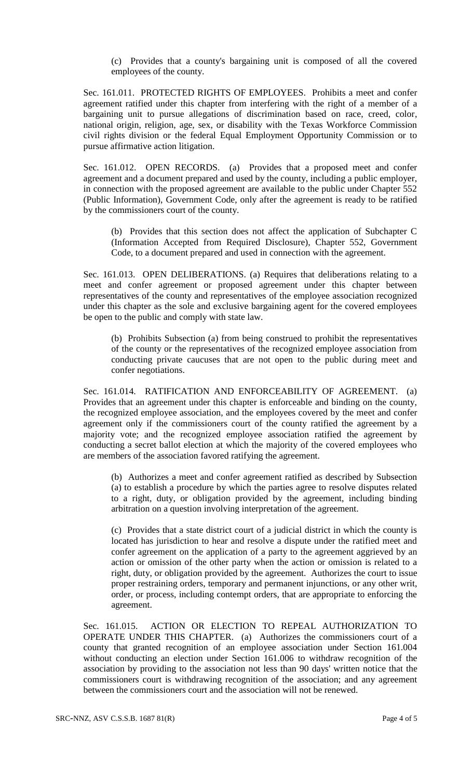(c) Provides that a county's bargaining unit is composed of all the covered employees of the county.

Sec. 161.011. PROTECTED RIGHTS OF EMPLOYEES. Prohibits a meet and confer agreement ratified under this chapter from interfering with the right of a member of a bargaining unit to pursue allegations of discrimination based on race, creed, color, national origin, religion, age, sex, or disability with the Texas Workforce Commission civil rights division or the federal Equal Employment Opportunity Commission or to pursue affirmative action litigation.

Sec. 161.012. OPEN RECORDS. (a) Provides that a proposed meet and confer agreement and a document prepared and used by the county, including a public employer, in connection with the proposed agreement are available to the public under Chapter 552 (Public Information), Government Code, only after the agreement is ready to be ratified by the commissioners court of the county.

(b) Provides that this section does not affect the application of Subchapter C (Information Accepted from Required Disclosure), Chapter 552, Government Code, to a document prepared and used in connection with the agreement.

Sec. 161.013. OPEN DELIBERATIONS. (a) Requires that deliberations relating to a meet and confer agreement or proposed agreement under this chapter between representatives of the county and representatives of the employee association recognized under this chapter as the sole and exclusive bargaining agent for the covered employees be open to the public and comply with state law.

(b) Prohibits Subsection (a) from being construed to prohibit the representatives of the county or the representatives of the recognized employee association from conducting private caucuses that are not open to the public during meet and confer negotiations.

Sec. 161.014. RATIFICATION AND ENFORCEABILITY OF AGREEMENT. (a) Provides that an agreement under this chapter is enforceable and binding on the county, the recognized employee association, and the employees covered by the meet and confer agreement only if the commissioners court of the county ratified the agreement by a majority vote; and the recognized employee association ratified the agreement by conducting a secret ballot election at which the majority of the covered employees who are members of the association favored ratifying the agreement.

(b) Authorizes a meet and confer agreement ratified as described by Subsection (a) to establish a procedure by which the parties agree to resolve disputes related to a right, duty, or obligation provided by the agreement, including binding arbitration on a question involving interpretation of the agreement.

(c) Provides that a state district court of a judicial district in which the county is located has jurisdiction to hear and resolve a dispute under the ratified meet and confer agreement on the application of a party to the agreement aggrieved by an action or omission of the other party when the action or omission is related to a right, duty, or obligation provided by the agreement. Authorizes the court to issue proper restraining orders, temporary and permanent injunctions, or any other writ, order, or process, including contempt orders, that are appropriate to enforcing the agreement.

Sec. 161.015. ACTION OR ELECTION TO REPEAL AUTHORIZATION TO OPERATE UNDER THIS CHAPTER. (a) Authorizes the commissioners court of a county that granted recognition of an employee association under Section 161.004 without conducting an election under Section 161.006 to withdraw recognition of the association by providing to the association not less than 90 days' written notice that the commissioners court is withdrawing recognition of the association; and any agreement between the commissioners court and the association will not be renewed.